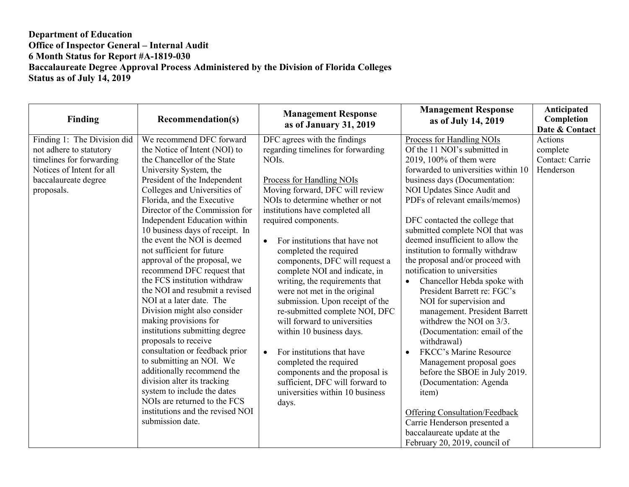| Finding                                                                                                                                               | <b>Recommendation(s)</b>                                                                                                                                                                                                                                                                                                                                                                                                                                                                                                                                                                                                                                                                                                                                                                                                                                                                                           | <b>Management Response</b><br>as of January 31, 2019                                                                                                                                                                                                                                                                                                                                                                                                                                                                                                                                                                                                                                                                                                                                         | <b>Management Response</b><br>as of July 14, 2019                                                                                                                                                                                                                                                                                                                                                                                                                                                                                                                                                                                                                                                                                                                                                                                                                                                                                                | Anticipated<br>Completion<br>Date & Contact         |
|-------------------------------------------------------------------------------------------------------------------------------------------------------|--------------------------------------------------------------------------------------------------------------------------------------------------------------------------------------------------------------------------------------------------------------------------------------------------------------------------------------------------------------------------------------------------------------------------------------------------------------------------------------------------------------------------------------------------------------------------------------------------------------------------------------------------------------------------------------------------------------------------------------------------------------------------------------------------------------------------------------------------------------------------------------------------------------------|----------------------------------------------------------------------------------------------------------------------------------------------------------------------------------------------------------------------------------------------------------------------------------------------------------------------------------------------------------------------------------------------------------------------------------------------------------------------------------------------------------------------------------------------------------------------------------------------------------------------------------------------------------------------------------------------------------------------------------------------------------------------------------------------|--------------------------------------------------------------------------------------------------------------------------------------------------------------------------------------------------------------------------------------------------------------------------------------------------------------------------------------------------------------------------------------------------------------------------------------------------------------------------------------------------------------------------------------------------------------------------------------------------------------------------------------------------------------------------------------------------------------------------------------------------------------------------------------------------------------------------------------------------------------------------------------------------------------------------------------------------|-----------------------------------------------------|
| Finding 1: The Division did<br>not adhere to statutory<br>timelines for forwarding<br>Notices of Intent for all<br>baccalaureate degree<br>proposals. | We recommend DFC forward<br>the Notice of Intent (NOI) to<br>the Chancellor of the State<br>University System, the<br>President of the Independent<br>Colleges and Universities of<br>Florida, and the Executive<br>Director of the Commission for<br>Independent Education within<br>10 business days of receipt. In<br>the event the NOI is deemed<br>not sufficient for future<br>approval of the proposal, we<br>recommend DFC request that<br>the FCS institution withdraw<br>the NOI and resubmit a revised<br>NOI at a later date. The<br>Division might also consider<br>making provisions for<br>institutions submitting degree<br>proposals to receive<br>consultation or feedback prior<br>to submitting an NOI. We<br>additionally recommend the<br>division alter its tracking<br>system to include the dates<br>NOIs are returned to the FCS<br>institutions and the revised NOI<br>submission date. | DFC agrees with the findings<br>regarding timelines for forwarding<br>NOI <sub>s</sub> .<br>Process for Handling NOIs<br>Moving forward, DFC will review<br>NOIs to determine whether or not<br>institutions have completed all<br>required components.<br>For institutions that have not<br>$\bullet$<br>completed the required<br>components, DFC will request a<br>complete NOI and indicate, in<br>writing, the requirements that<br>were not met in the original<br>submission. Upon receipt of the<br>re-submitted complete NOI, DFC<br>will forward to universities<br>within 10 business days.<br>For institutions that have<br>$\bullet$<br>completed the required<br>components and the proposal is<br>sufficient, DFC will forward to<br>universities within 10 business<br>days. | Process for Handling NOIs<br>Of the 11 NOI's submitted in<br>2019, 100% of them were<br>forwarded to universities within 10<br>business days (Documentation:<br>NOI Updates Since Audit and<br>PDFs of relevant emails/memos)<br>DFC contacted the college that<br>submitted complete NOI that was<br>deemed insufficient to allow the<br>institution to formally withdraw<br>the proposal and/or proceed with<br>notification to universities<br>Chancellor Hebda spoke with<br>$\bullet$<br>President Barrett re: FGC's<br>NOI for supervision and<br>management. President Barrett<br>withdrew the NOI on 3/3.<br>(Documentation: email of the<br>withdrawal)<br>FKCC's Marine Resource<br>$\bullet$<br>Management proposal goes<br>before the SBOE in July 2019.<br>(Documentation: Agenda<br>item)<br><b>Offering Consultation/Feedback</b><br>Carrie Henderson presented a<br>baccalaureate update at the<br>February 20, 2019, council of | Actions<br>complete<br>Contact: Carrie<br>Henderson |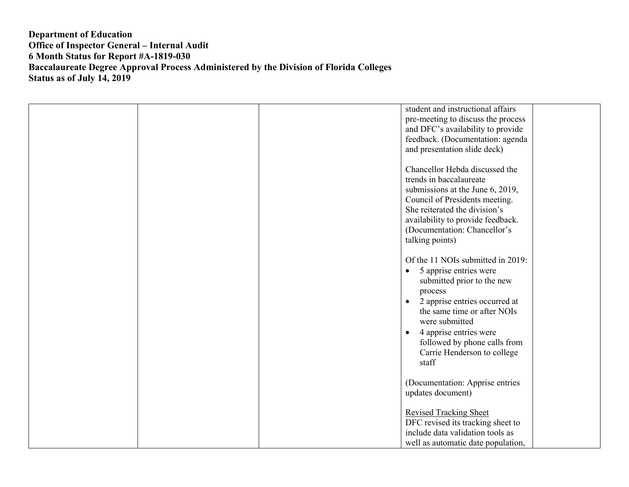|  | student and instructional affairs<br>pre-meeting to discuss the process<br>and DFC's availability to provide<br>feedback. (Documentation: agenda<br>and presentation slide deck)                                                                                                                                                |
|--|---------------------------------------------------------------------------------------------------------------------------------------------------------------------------------------------------------------------------------------------------------------------------------------------------------------------------------|
|  | Chancellor Hebda discussed the<br>trends in baccalaureate<br>submissions at the June 6, 2019,<br>Council of Presidents meeting.<br>She reiterated the division's<br>availability to provide feedback.<br>(Documentation: Chancellor's<br>talking points)                                                                        |
|  | Of the 11 NOIs submitted in 2019:<br>5 apprise entries were<br>$\bullet$<br>submitted prior to the new<br>process<br>2 apprise entries occurred at<br>$\bullet$<br>the same time or after NOIs<br>were submitted<br>4 apprise entries were<br>$\bullet$<br>followed by phone calls from<br>Carrie Henderson to college<br>staff |
|  | (Documentation: Apprise entries<br>updates document)<br><b>Revised Tracking Sheet</b><br>DFC revised its tracking sheet to<br>include data validation tools as<br>well as automatic date population,                                                                                                                            |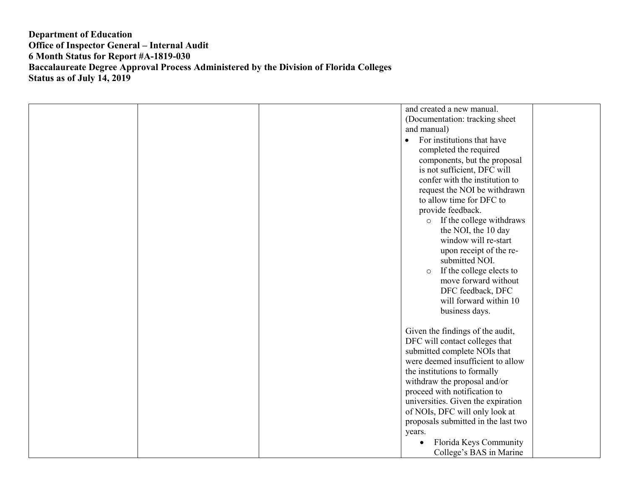| and created a new manual.                   |  |
|---------------------------------------------|--|
| (Documentation: tracking sheet)             |  |
| and manual)                                 |  |
| For institutions that have<br>$\bullet$     |  |
| completed the required                      |  |
| components, but the proposal                |  |
| is not sufficient, DFC will                 |  |
| confer with the institution to              |  |
| request the NOI be withdrawn                |  |
| to allow time for DFC to                    |  |
| provide feedback.                           |  |
| o If the college withdraws                  |  |
| the NOI, the 10 day                         |  |
| window will re-start                        |  |
| upon receipt of the re-                     |  |
| submitted NOI.                              |  |
| If the college elects to<br>$\circ$         |  |
| move forward without                        |  |
| DFC feedback, DFC<br>will forward within 10 |  |
| business days.                              |  |
|                                             |  |
| Given the findings of the audit,            |  |
| DFC will contact colleges that              |  |
| submitted complete NOIs that                |  |
| were deemed insufficient to allow           |  |
| the institutions to formally                |  |
| withdraw the proposal and/or                |  |
| proceed with notification to                |  |
| universities. Given the expiration          |  |
| of NOIs, DFC will only look at              |  |
| proposals submitted in the last two         |  |
| years.                                      |  |
| Florida Keys Community                      |  |
| College's BAS in Marine                     |  |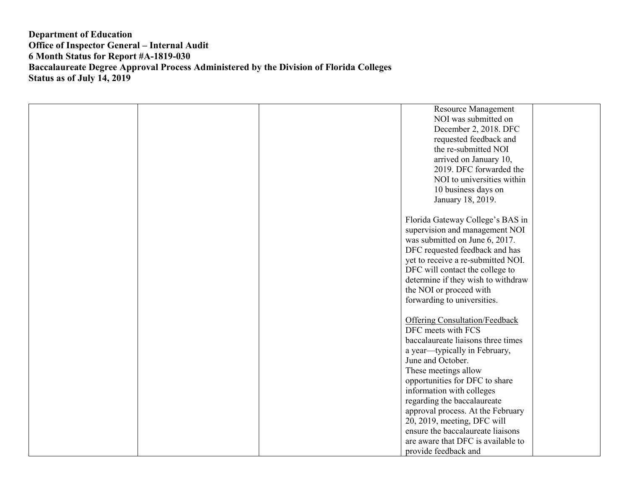|  | <b>Resource Management</b>            |  |
|--|---------------------------------------|--|
|  | NOI was submitted on                  |  |
|  |                                       |  |
|  | December 2, 2018. DFC                 |  |
|  | requested feedback and                |  |
|  | the re-submitted NOI                  |  |
|  | arrived on January 10,                |  |
|  | 2019. DFC forwarded the               |  |
|  | NOI to universities within            |  |
|  | 10 business days on                   |  |
|  | January 18, 2019.                     |  |
|  |                                       |  |
|  | Florida Gateway College's BAS in      |  |
|  | supervision and management NOI        |  |
|  | was submitted on June 6, 2017.        |  |
|  |                                       |  |
|  | DFC requested feedback and has        |  |
|  | yet to receive a re-submitted NOI.    |  |
|  | DFC will contact the college to       |  |
|  | determine if they wish to withdraw    |  |
|  | the NOI or proceed with               |  |
|  | forwarding to universities.           |  |
|  |                                       |  |
|  | <b>Offering Consultation/Feedback</b> |  |
|  | DFC meets with FCS                    |  |
|  | baccalaureate liaisons three times    |  |
|  | a year-typically in February,         |  |
|  | June and October.                     |  |
|  | These meetings allow                  |  |
|  | opportunities for DFC to share        |  |
|  | information with colleges             |  |
|  | regarding the baccalaureate           |  |
|  |                                       |  |
|  | approval process. At the February     |  |
|  | 20, 2019, meeting, DFC will           |  |
|  | ensure the baccalaureate liaisons     |  |
|  | are aware that DFC is available to    |  |
|  | provide feedback and                  |  |
|  |                                       |  |